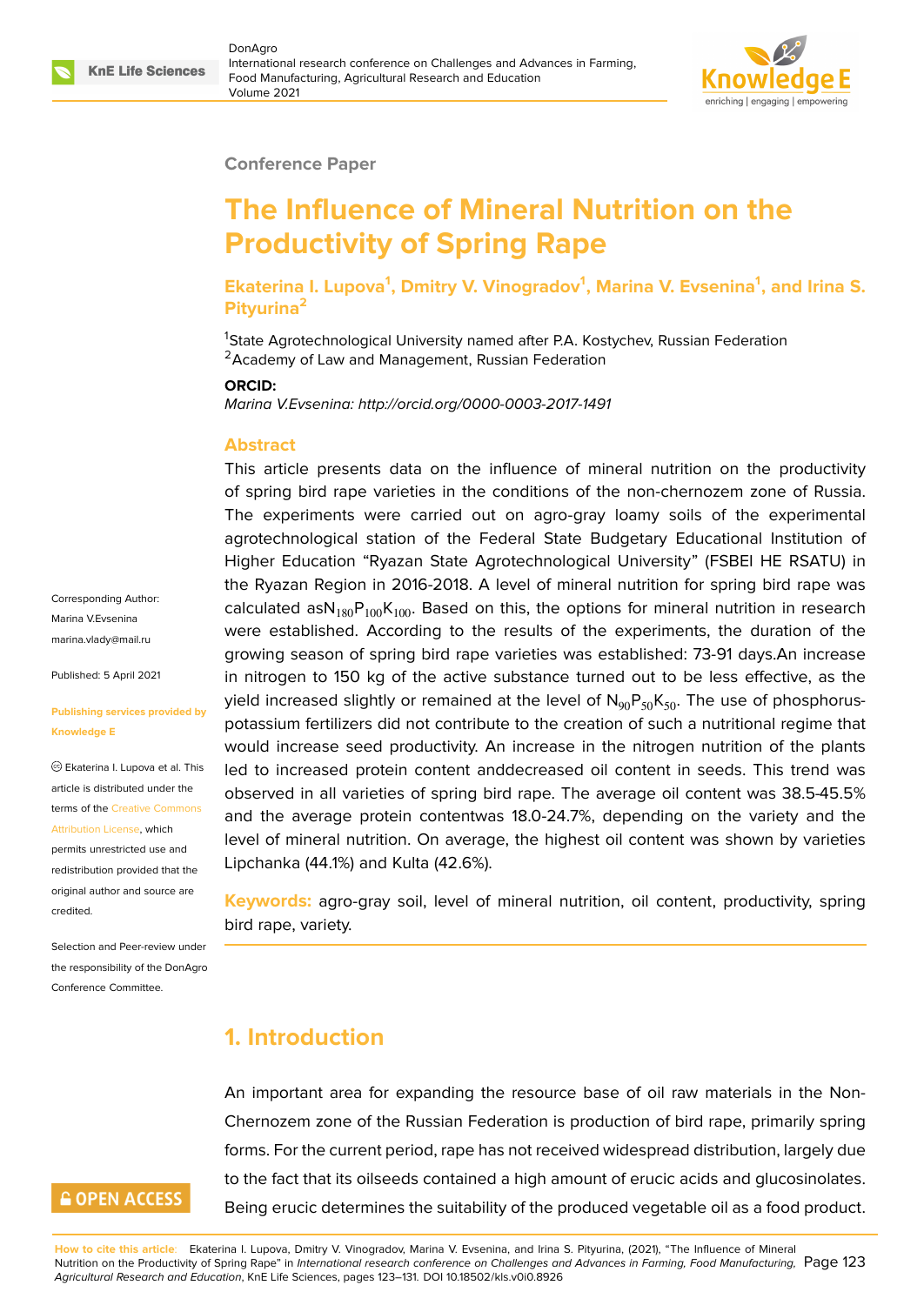

#### **Conference Paper**

# **The Influence of Mineral Nutrition on the Productivity of Spring Rape**

**Ekaterina I. Lupova<sup>1</sup> , Dmitry V. Vinogradov<sup>1</sup> , Marina V. Evsenina<sup>1</sup> , and Irina S. Pityurina<sup>2</sup>**

<sup>1</sup>State Agrotechnological University named after P.A. Kostychev, Russian Federation <sup>2</sup> Academy of Law and Management, Russian Federation

#### **ORCID:**

*Marina V.Evsenina: http://orcid.org/0000-0003-2017-1491*

#### **Abstract**

This article presents data on the influence of mineral nutrition on the productivity of spring bird rape varieties in the conditions of the non-chernozem zone of Russia. The experiments were carried out on agro-gray loamy soils of the experimental agrotechnological station of the Federal State Budgetary Educational Institution of Higher Education "Ryazan State Agrotechnological University" (FSBEI HE RSATU) in the Ryazan Region in 2016-2018. A level of mineral nutrition for spring bird rape was calculated as $N_{180}P_{100}K_{100}$ . Based on this, the options for mineral nutrition in research were established. According to the results of the experiments, the duration of the growing season of spring bird rape varieties was established: 73-91 days.An increase in nitrogen to 150 kg of the active substance turned out to be less effective, as the yield increased slightly or remained at the level of  $N_{90}P_{50}K_{50}$ . The use of phosphoruspotassium fertilizers did not contribute to the creation of such a nutritional regime that would increase seed productivity. An increase in the nitrogen nutrition of the plants led to increased protein content anddecreased oil content in seeds. This trend was observed in all varieties of spring bird rape. The average oil content was 38.5-45.5% and the average protein contentwas 18.0-24.7%, depending on the variety and the level of mineral nutrition. On average, the highest oil content was shown by varieties Lipchanka (44.1%) and Kulta (42.6%).

**Keywords:** agro-gray soil, level of mineral nutrition, oil content, productivity, spring bird rape, variety.

### **1. Introduction**

An important area for expanding the resource base of oil raw materials in the Non-Chernozem zone of the Russian Federation is production of bird rape, primarily spring forms. For the current period, rape has not received widespread distribution, largely due to the fact that its oilseeds contained a high amount of erucic acids and glucosinolates. Being erucic determines the suitability of the produced vegetable oil as a food product.

Corresponding Author: Marina V.Evsenina marina.vlady@mail.ru

Published: 5 April 2021

#### **[Publishing services p](mailto:marina.vlady@mail.ru)rovided by Knowledge E**

Ekaterina I. Lupova et al. This article is distributed under the terms of the Creative Commons Attribution License, which

permits unrestricted use and redistribution provided that the original auth[or and source are](https://creativecommons.org/licenses/by/4.0/) [credited.](https://creativecommons.org/licenses/by/4.0/)

Selection and Peer-review under the responsibility of the DonAgro Conference Committee.

# **GOPEN ACCESS**

**How to cite this article**: Ekaterina I. Lupova, Dmitry V. Vinogradov, Marina V. Evsenina, and Irina S. Pityurina, (2021), "The Influence of Mineral Nutrition on the Productivity of Spring Rape" in *International research conference on Challenges and Advances in Farming, Food Manufacturing,* Page 123 *Agricultural Research and Education*, KnE Life Sciences, pages 123–131. DOI 10.18502/kls.v0i0.8926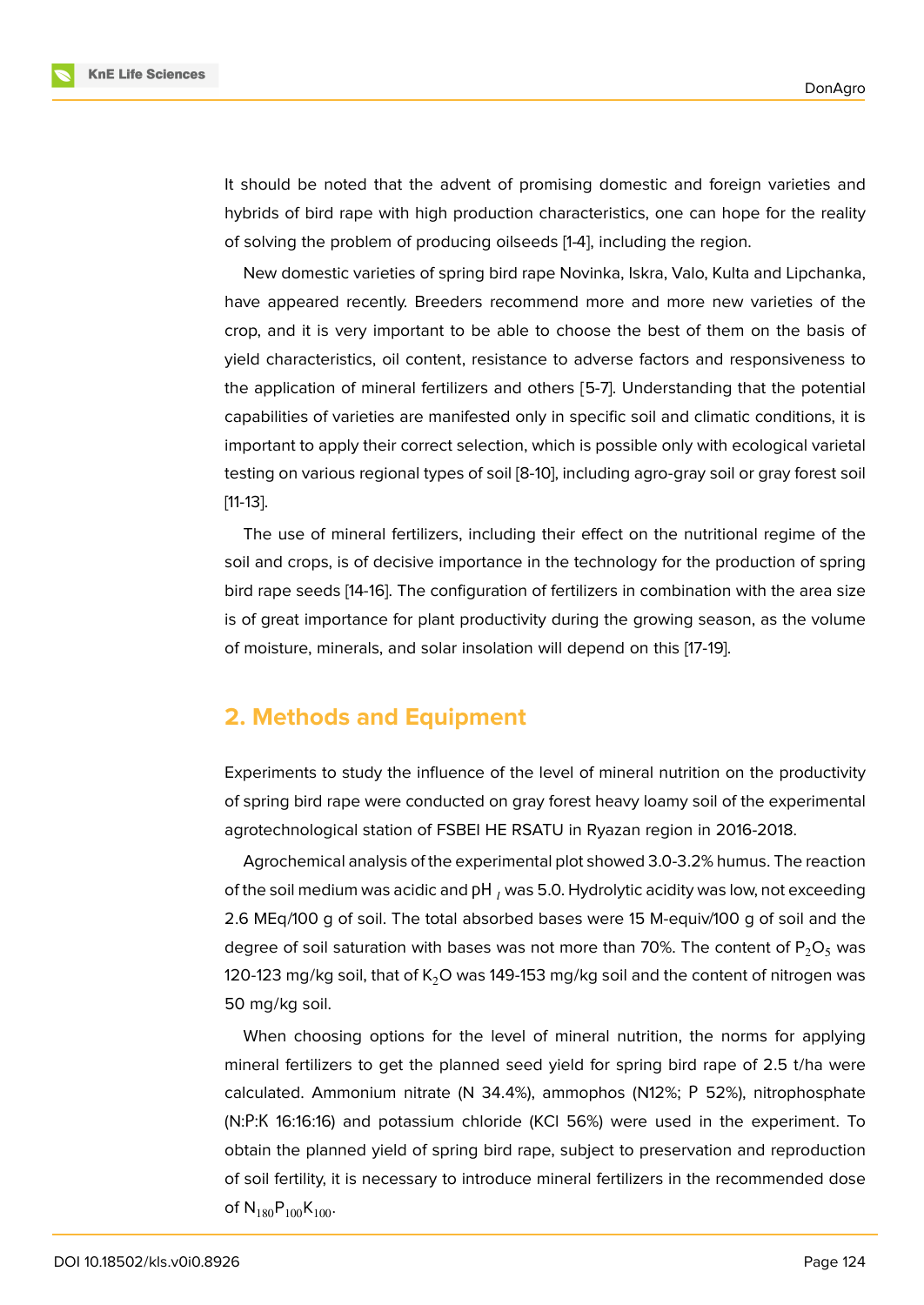

It should be noted that the advent of promising domestic and foreign varieties and hybrids of bird rape with high production characteristics, one can hope for the reality of solving the problem of producing oilseeds [1-4], including the region.

New domestic varieties of spring bird rape Novinka, Iskra, Valo, Kulta and Lipchanka, have appeared recently. Breeders recommend more and more new varieties of the crop, and it is very important to be able to choose the best of them on the basis of yield characteristics, oil content, resistance to adverse factors and responsiveness to the application of mineral fertilizers and others [5-7]. Understanding that the potential capabilities of varieties are manifested only in specific soil and climatic conditions, it is important to apply their correct selection, which is possible only with ecological varietal testing on various regional types of soil [8-10], including agro-gray soil or gray forest soil [11-13].

The use of mineral fertilizers, including their effect on the nutritional regime of the soil and crops, is of decisive importance in the technology for the production of spring bird rape seeds [14-16]. The configuration of fertilizers in combination with the area size is of great importance for plant productivity during the growing season, as the volume of moisture, minerals, and solar insolation will depend on this [17-19].

### **2. Methods and Equipment**

Experiments to study the influence of the level of mineral nutrition on the productivity of spring bird rape were conducted on gray forest heavy loamy soil of the experimental agrotechnological station of FSBEI HE RSATU in Ryazan region in 2016-2018.

Agrochemical analysis of the experimental plot showed 3.0-3.2% humus. The reaction of the soil medium was acidic and pH, was 5.0. Hydrolytic acidity was low, not exceeding 2.6 MEq/100 g of soil. The total absorbed bases were 15 M-equiv/100 g of soil and the degree of soil saturation with bases was not more than 70%. The content of  $P_2O_5$  was 120-123 mg/kg soil, that of  $K<sub>2</sub>O$  was 149-153 mg/kg soil and the content of nitrogen was 50 mg/kg soil.

When choosing options for the level of mineral nutrition, the norms for applying mineral fertilizers to get the planned seed yield for spring bird rape of 2.5 t/ha were calculated. Ammonium nitrate (N 34.4%), ammophos (N12%; Р 52%), nitrophosphate (N:Р:К 16:16:16) and potassium chloride (KCl 56%) were used in the experiment. To obtain the planned yield of spring bird rape, subject to preservation and reproduction of soil fertility, it is necessary to introduce mineral fertilizers in the recommended dose of  $N_{180}P_{100}K_{100}$ .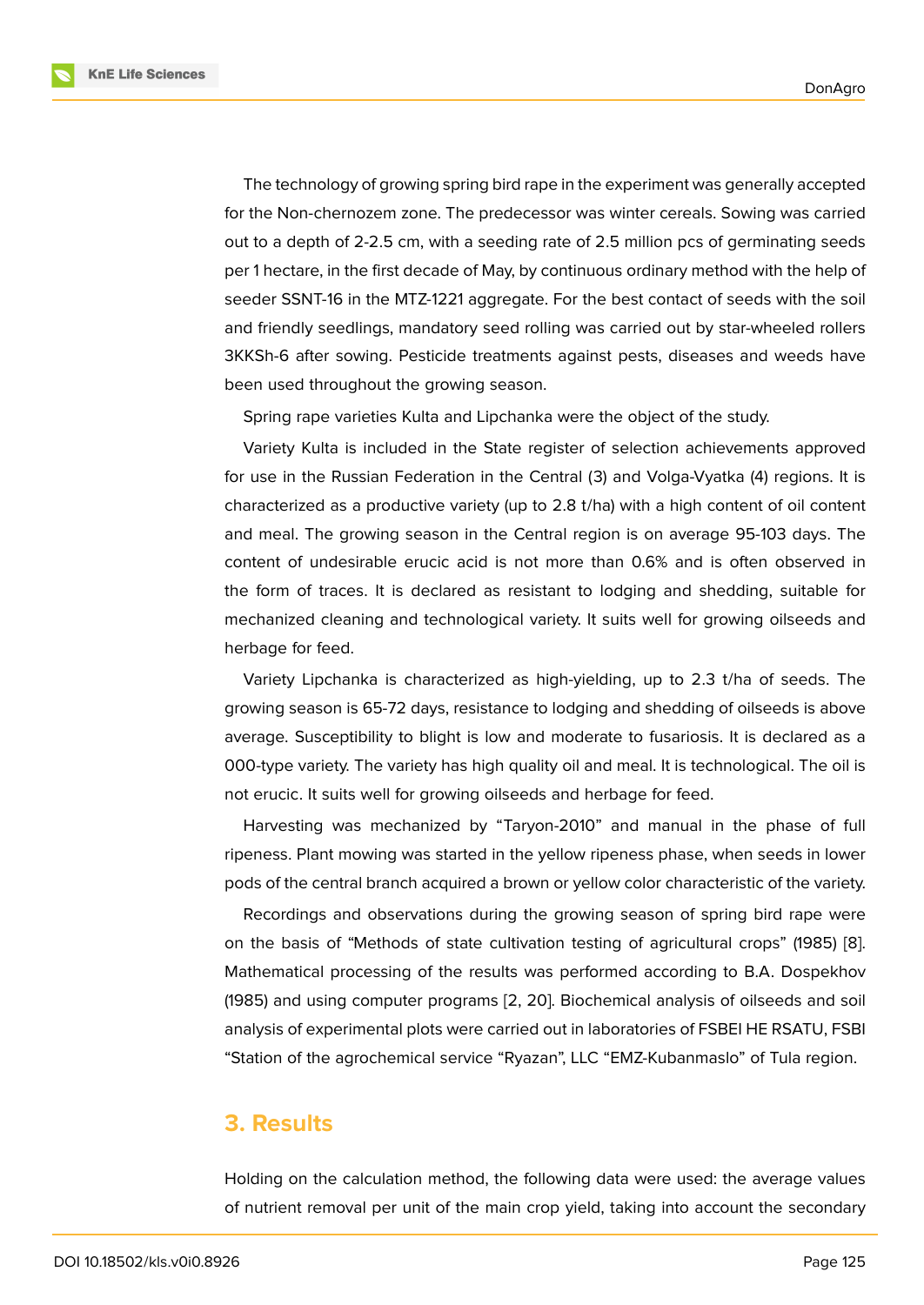The technology of growing spring bird rape in the experiment was generally accepted for the Non-chernozem zone. The predecessor was winter cereals. Sowing was carried out to a depth of 2-2.5 cm, with a seeding rate of 2.5 million pcs of germinating seeds per 1 hectare, in the first decade of May, by continuous ordinary method with the help of seeder SSNT-16 in the MTZ-1221 aggregate. For the best contact of seeds with the soil and friendly seedlings, mandatory seed rolling was carried out by star-wheeled rollers 3KKSh-6 after sowing. Pesticide treatments against pests, diseases and weeds have been used throughout the growing season.

Spring rape varieties Kulta and Lipchanka were the object of the study.

Variety Kulta is included in the State register of selection achievements approved for use in the Russian Federation in the Central (3) and Volga-Vyatka (4) regions. It is characterized as a productive variety (up to 2.8 t/ha) with a high content of oil content and meal. The growing season in the Central region is on average 95-103 days. The content of undesirable erucic acid is not more than 0.6% and is often observed in the form of traces. It is declared as resistant to lodging and shedding, suitable for mechanized cleaning and technological variety. It suits well for growing oilseeds and herbage for feed.

Variety Lipchanka is characterized as high-yielding, up to 2.3 t/ha of seeds. The growing season is 65-72 days, resistance to lodging and shedding of oilseeds is above average. Susceptibility to blight is low and moderate to fusariosis. It is declared as a 000-type variety. The variety has high quality oil and meal. It is technological. The oil is not erucic. It suits well for growing oilseeds and herbage for feed.

Harvesting was mechanized by "Taryon-2010" and manual in the phase of full ripeness. Plant mowing was started in the yellow ripeness phase, when seeds in lower pods of the central branch acquired a brown or yellow color characteristic of the variety.

Recordings and observations during the growing season of spring bird rape were on the basis of "Methods of state cultivation testing of agricultural crops" (1985) [8]. Mathematical processing of the results was performed according to B.A. Dospekhov (1985) and using computer programs [2, 20]. Biochemical analysis of oilseeds and soil analysis of experimental plots were carried out in laboratories of FSBEI HE RSATU, F[SB](#page-7-0)I "Station of the agrochemical service "Ryazan", LLC "EMZ-Kubanmaslo" of Tula region.

#### **3. Results**

Holding on the calculation method, the following data were used: the average values of nutrient removal per unit of the main crop yield, taking into account the secondary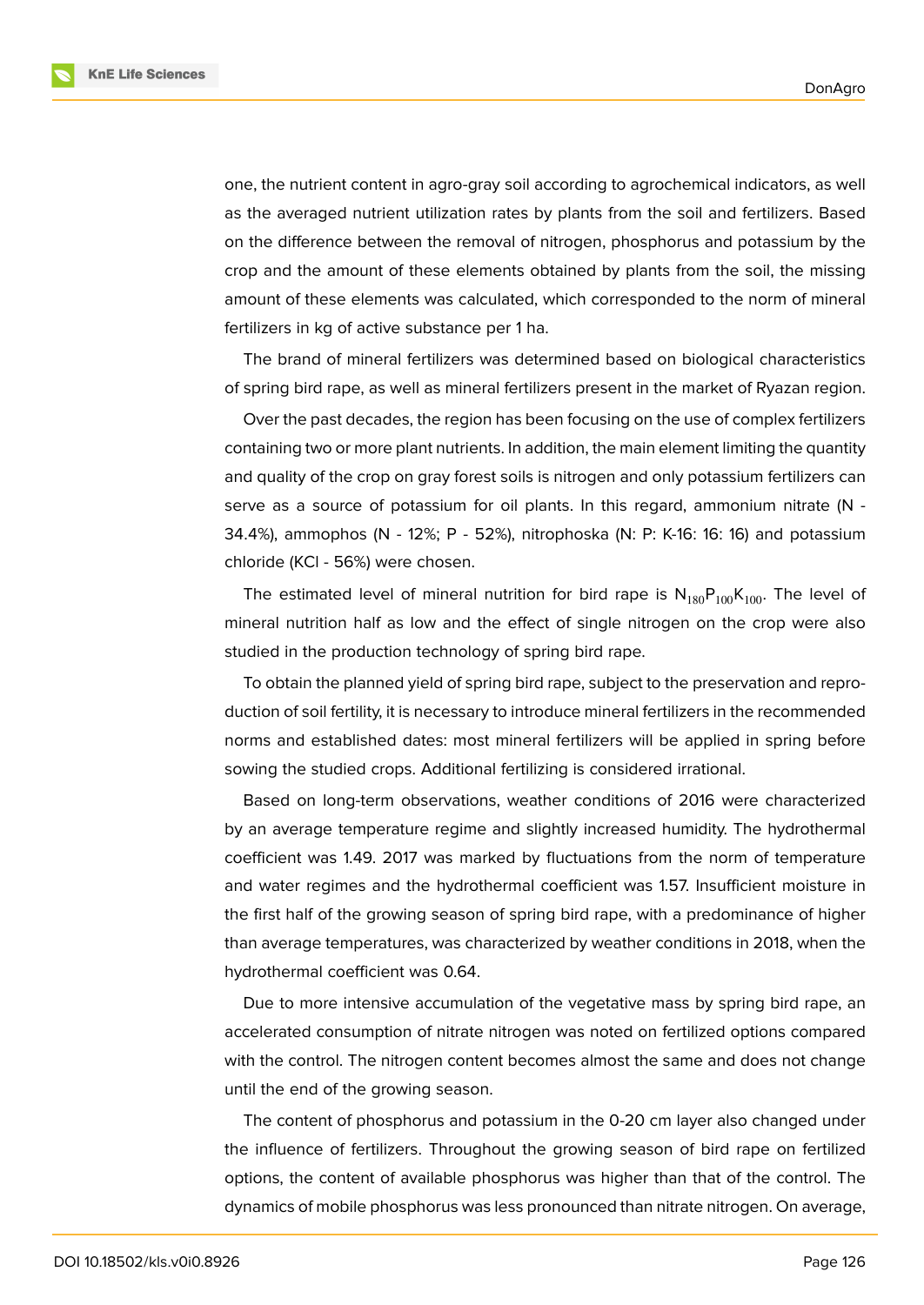**KnE Life Sciences** 



one, the nutrient content in agro-gray soil according to agrochemical indicators, as well as the averaged nutrient utilization rates by plants from the soil and fertilizers. Based on the difference between the removal of nitrogen, phosphorus and potassium by the crop and the amount of these elements obtained by plants from the soil, the missing amount of these elements was calculated, which corresponded to the norm of mineral fertilizers in kg of active substance per 1 ha.

The brand of mineral fertilizers was determined based on biological characteristics of spring bird rape, as well as mineral fertilizers present in the market of Ryazan region.

Over the past decades, the region has been focusing on the use of complex fertilizers containing two or more plant nutrients. In addition, the main element limiting the quantity and quality of the crop on gray forest soils is nitrogen and only potassium fertilizers can serve as a source of potassium for oil plants. In this regard, ammonium nitrate (N - 34.4%), ammophos (N - 12%; P - 52%), nitrophoska (N: P: K-16: 16: 16) and potassium chloride (KCl - 56%) were chosen.

The estimated level of mineral nutrition for bird rape is  $N_{180}P_{100}K_{100}$ . The level of mineral nutrition half as low and the effect of single nitrogen on the crop were also studied in the production technology of spring bird rape.

To obtain the planned yield of spring bird rape, subject to the preservation and reproduction of soil fertility, it is necessary to introduce mineral fertilizers in the recommended norms and established dates: most mineral fertilizers will be applied in spring before sowing the studied crops. Additional fertilizing is considered irrational.

Based on long-term observations, weather conditions of 2016 were characterized by an average temperature regime and slightly increased humidity. The hydrothermal coefficient was 1.49. 2017 was marked by fluctuations from the norm of temperature and water regimes and the hydrothermal coefficient was 1.57. Insufficient moisture in the first half of the growing season of spring bird rape, with a predominance of higher than average temperatures, was characterized by weather conditions in 2018, when the hydrothermal coefficient was 0.64.

Due to more intensive accumulation of the vegetative mass by spring bird rape, an accelerated consumption of nitrate nitrogen was noted on fertilized options compared with the control. The nitrogen content becomes almost the same and does not change until the end of the growing season.

The content of phosphorus and potassium in the 0-20 cm layer also changed under the influence of fertilizers. Throughout the growing season of bird rape on fertilized options, the content of available phosphorus was higher than that of the control. The dynamics of mobile phosphorus was less pronounced than nitrate nitrogen. On average,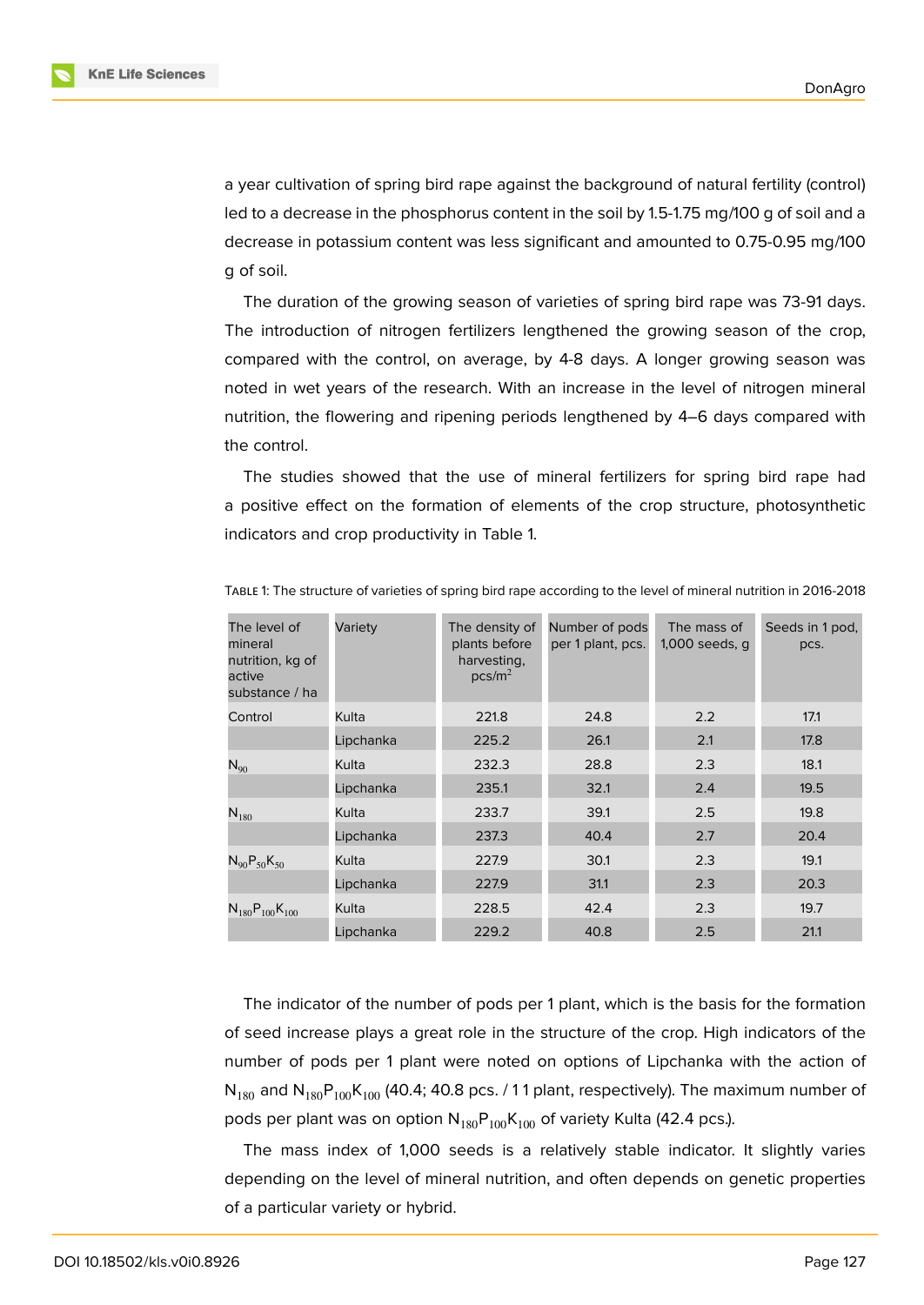a year cultivation of spring bird rape against the background of natural fertility (control) led to a decrease in the phosphorus content in the soil by 1.5-1.75 mg/100 g of soil and a decrease in potassium content was less significant and amounted to 0.75-0.95 mg/100 g of soil.

The duration of the growing season of varieties of spring bird rape was 73-91 days. The introduction of nitrogen fertilizers lengthened the growing season of the crop, compared with the control, on average, by 4-8 days. A longer growing season was noted in wet years of the research. With an increase in the level of nitrogen mineral nutrition, the flowering and ripening periods lengthened by 4–6 days compared with the control.

The studies showed that the use of mineral fertilizers for spring bird rape had a positive effect on the formation of elements of the crop structure, photosynthetic indicators and crop productivity in Table 1.

| The level of<br>mineral<br>nutrition, kg of<br>active<br>substance / ha | Variety   | The density of<br>plants before<br>harvesting,<br>pcs/m <sup>2</sup> | Number of pods<br>per 1 plant, pcs. | The mass of<br>1,000 seeds, q | Seeds in 1 pod,<br>pcs. |  |
|-------------------------------------------------------------------------|-----------|----------------------------------------------------------------------|-------------------------------------|-------------------------------|-------------------------|--|
| Control                                                                 | Kulta     | 221.8                                                                | 24.8                                | 2.2                           | 17.1                    |  |
|                                                                         | Lipchanka | 225.2                                                                | 26.1                                | 2.1                           | 17.8                    |  |
| $N_{90}$                                                                | Kulta     | 232.3                                                                | 28.8                                | 2.3                           | 18.1                    |  |
|                                                                         | Lipchanka | 235.1                                                                | 32.1                                | 2.4                           | 19.5                    |  |
| $N_{180}$                                                               | Kulta     | 233.7                                                                | 39.1                                | 2.5                           | 19.8                    |  |
|                                                                         | Lipchanka | 237.3                                                                | 40.4                                | 2.7                           | 20.4                    |  |
| $N_{90}P_{50}K_{50}$                                                    | Kulta     | 227.9                                                                | 30.1                                | 2.3                           | 19.1                    |  |
|                                                                         | Lipchanka | 227.9                                                                | 31.1                                | 2.3                           | 20.3                    |  |
| $N_{180}P_{100}K_{100}$                                                 | Kulta     | 228.5                                                                | 42.4                                | 2.3                           | 19.7                    |  |
|                                                                         | Lipchanka | 229.2                                                                | 40.8                                | 2.5                           | 21.1                    |  |

TABLE 1: The structure of varieties of spring bird rape according to the level of mineral nutrition in 2016-2018

The indicator of the number of pods per 1 plant, which is the basis for the formation of seed increase plays a great role in the structure of the crop. High indicators of the number of pods per 1 plant were noted on options of Lipchanka with the action of  $N_{180}$  and  $N_{180}P_{100}K_{100}$  (40.4; 40.8 pcs. / 11 plant, respectively). The maximum number of pods per plant was on option  $N_{180}P_{100}K_{100}$  of variety Kulta (42.4 pcs.).

The mass index of 1,000 seeds is a relatively stable indicator. It slightly varies depending on the level of mineral nutrition, and often depends on genetic properties of a particular variety or hybrid.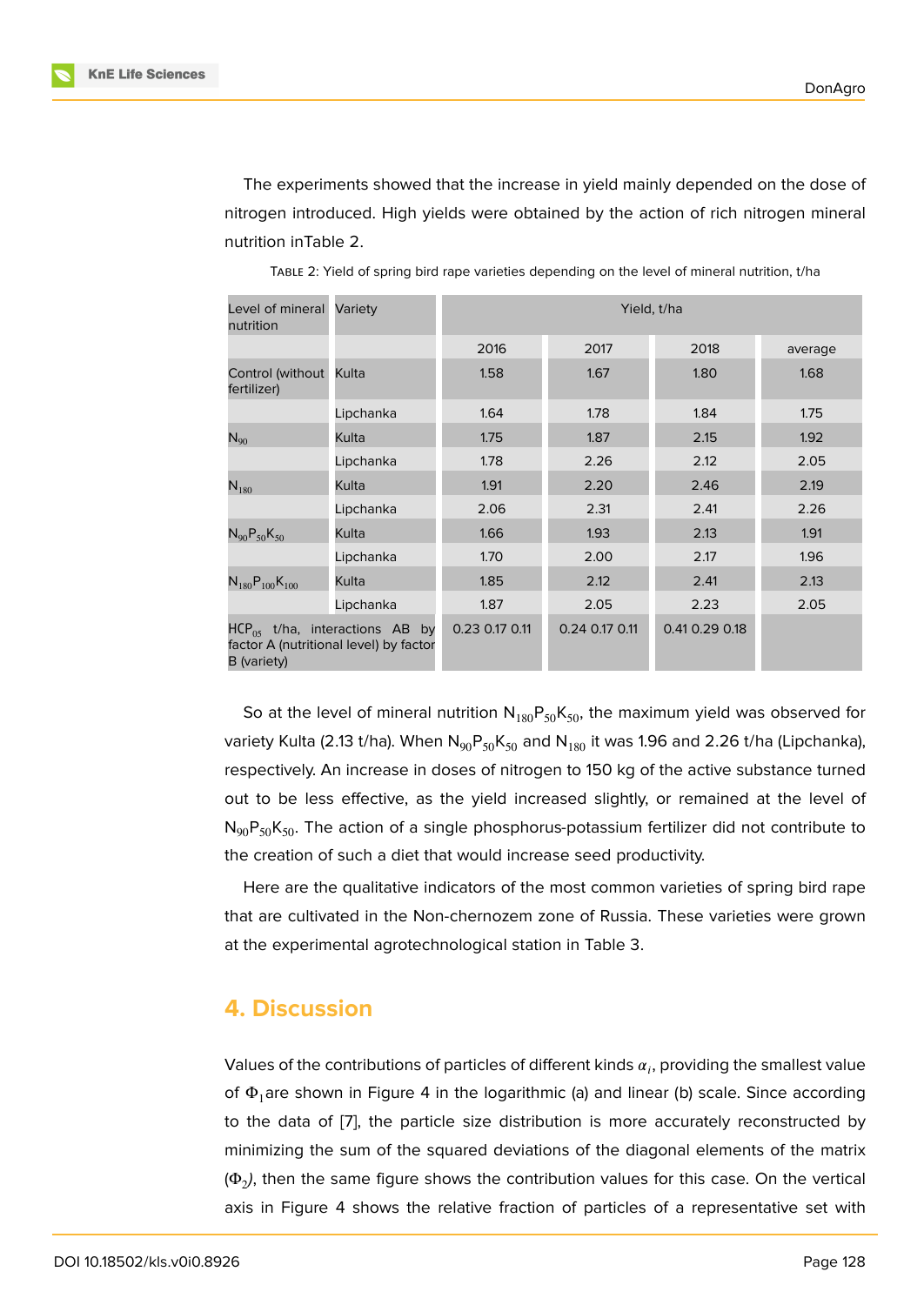The experiments showed that the increase in yield mainly depended on the dose of nitrogen introduced. High yields were obtained by the action of rich nitrogen mineral nutrition inTable 2.

| Level of mineral<br>nutrition                                                                 | Variety   | Yield, t/ha    |                |                |         |  |  |  |
|-----------------------------------------------------------------------------------------------|-----------|----------------|----------------|----------------|---------|--|--|--|
|                                                                                               |           | 2016           | 2017           | 2018           | average |  |  |  |
| Control (without Kulta<br>fertilizer)                                                         |           | 1.58           | 1.67           | 1.80           | 1.68    |  |  |  |
|                                                                                               | Lipchanka | 1.64           | 1.78           | 1.84           | 1.75    |  |  |  |
| $\mathsf{N}_{90}$                                                                             | Kulta     | 1.75           | 1.87           | 2.15           | 1.92    |  |  |  |
|                                                                                               | Lipchanka | 1.78           | 2.26           | 2.12           | 2.05    |  |  |  |
| $N_{180}$                                                                                     | Kulta     | 1.91           | 2.20           | 2.46           | 2.19    |  |  |  |
|                                                                                               | Lipchanka | 2.06           | 2.31           | 2.41           | 2.26    |  |  |  |
| $N_{90}P_{50}K_{50}$                                                                          | Kulta     | 1.66           | 1.93           | 2.13           | 1.91    |  |  |  |
|                                                                                               | Lipchanka | 1.70           | 2.00           | 2.17           | 1.96    |  |  |  |
| $N_{180}P_{100}K_{100}$                                                                       | Kulta     | 1.85           | 2.12           | 2.41           | 2.13    |  |  |  |
|                                                                                               | Lipchanka | 1.87           | 2.05           | 2.23           | 2.05    |  |  |  |
| $HCP_{.05}$ t/ha, interactions AB by<br>factor A (nutritional level) by factor<br>B (variety) |           | 0.23 0.17 0.11 | 0.24 0.17 0.11 | 0.41 0.29 0.18 |         |  |  |  |

TABLE 2: Yield of spring bird rape varieties depending on the level of mineral nutrition, t/ha

So at the level of mineral nutrition  $N_{180}P_{50}K_{50}$ , the maximum yield was observed for variety Kulta (2.13 t/ha). When  $N_{90}P_{50}K_{50}$  and  $N_{180}$  it was 1.96 and 2.26 t/ha (Lipchanka), respectively. An increase in doses of nitrogen to 150 kg of the active substance turned out to be less effective, as the yield increased slightly, or remained at the level of  $N_{90}P_{50}K_{50}$ . The action of a single phosphorus-potassium fertilizer did not contribute to the creation of such a diet that would increase seed productivity.

Here are the qualitative indicators of the most common varieties of spring bird rape that are cultivated in the Non-chernozem zone of Russia. These varieties were grown at the experimental agrotechnological station in Table 3.

#### **4. Discussion**

Values of the contributions of particles of different kinds  $\alpha_i$ , providing the smallest value of  $\Phi_1$ are shown in Figure 4 in the logarithmic (a) and linear (b) scale. Since according to the data of [7], the particle size distribution is more accurately reconstructed by minimizing the sum of the squared deviations of the diagonal elements of the matrix ( $\Phi_2$ ), then the same figure shows the contribution values for this case. On the vertical axis in Figure [4 s](#page-7-1)hows the relative fraction of particles of a representative set with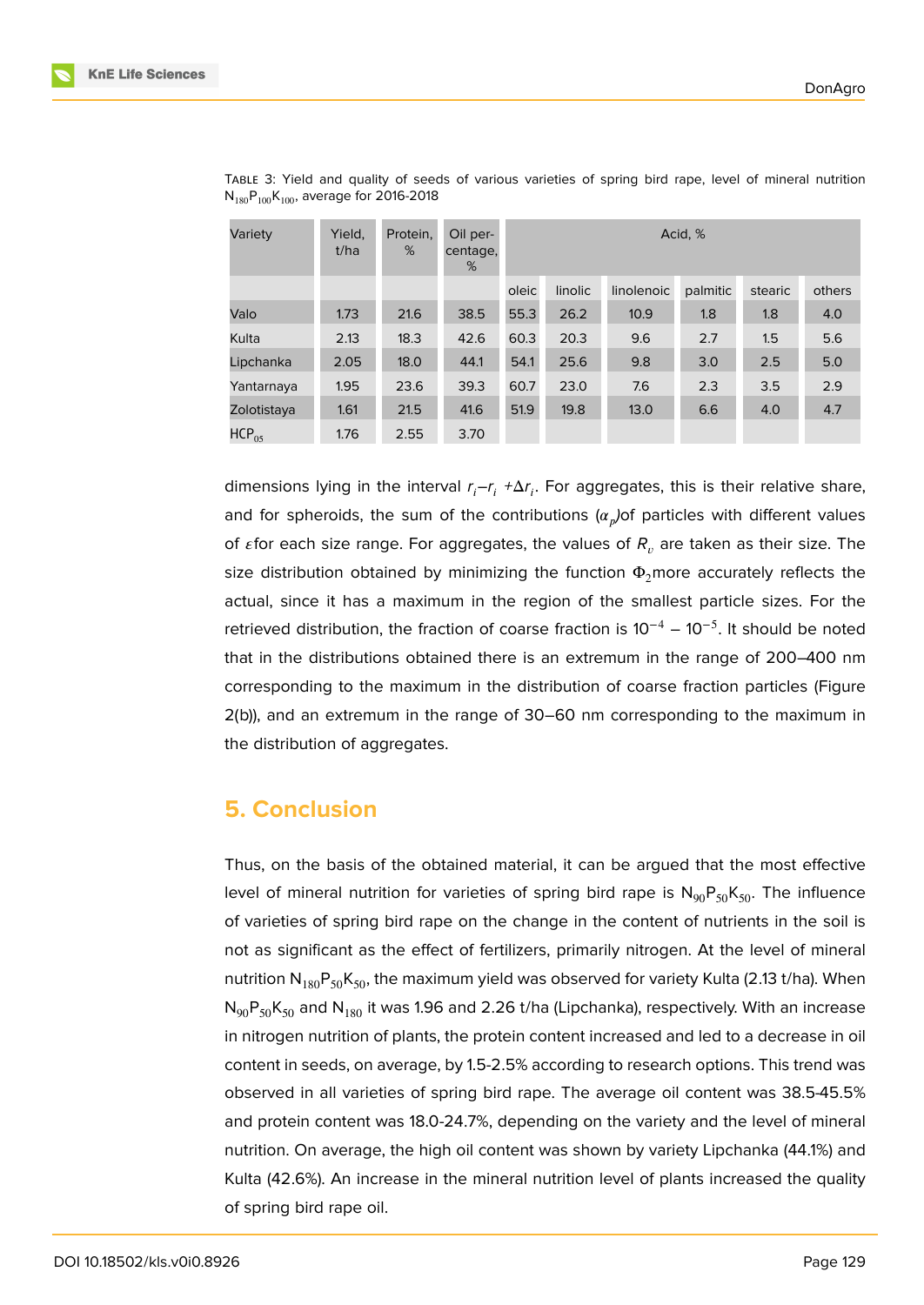| Variety     | Yield.<br>t/ha | Protein,<br>% | Oil per-<br>centage,<br>% | Acid, % |         |            |          |         |        |
|-------------|----------------|---------------|---------------------------|---------|---------|------------|----------|---------|--------|
|             |                |               |                           | oleic   | linolic | linolenoic | palmitic | stearic | others |
| Valo        | 1.73           | 21.6          | 38.5                      | 55.3    | 26.2    | 10.9       | 1.8      | 1.8     | 4.0    |
| Kulta       | 2.13           | 18.3          | 42.6                      | 60.3    | 20.3    | 9.6        | 2.7      | 1.5     | 5.6    |
| Lipchanka   | 2.05           | 18.0          | 44.1                      | 54.1    | 25.6    | 9.8        | 3.0      | 2.5     | 5.0    |
| Yantarnaya  | 1.95           | 23.6          | 39.3                      | 60.7    | 23.0    | 7.6        | 2.3      | 3.5     | 2.9    |
| Zolotistaya | 1.61           | 21.5          | 41.6                      | 51.9    | 19.8    | 13.0       | 6.6      | 4.0     | 4.7    |
| $HCP_{05}$  | 1.76           | 2.55          | 3.70                      |         |         |            |          |         |        |

TABLE 3: Yield and quality of seeds of various varieties of spring bird rape, level of mineral nutrition  $N_{180}P_{100}K_{100}$ , average for 2016-2018

dimensions lying in the interval *r* –*r +*Δ*r* . For aggregates, this is their relative share, and for spheroids, the sum of the contributions ( $\alpha_p$ )of particles with different values of  $\varepsilon$  for each size range. For aggregates, the values of  $R_n$  are taken as their size. The size distribution obtained by minimizing the function  $\Phi_2$ more accurately reflects the actual, since it has a maximum in the region of the smallest particle sizes. For the retrieved distribution, the fraction of coarse fraction is  $10^{-4} - 10^{-5}$ . It should be noted that in the distributions obtained there is an extremum in the range of 200–400 nm corresponding to the maximum in the distribution of coarse fraction particles (Figure 2(b)), and an extremum in the range of 30–60 nm corresponding to the maximum in the distribution of aggregates.

### **5. Conclusion**

Thus, on the basis of the obtained material, it can be argued that the most effective level of mineral nutrition for varieties of spring bird rape is  $N_{90}P_{50}K_{50}$ . The influence of varieties of spring bird rape on the change in the content of nutrients in the soil is not as significant as the effect of fertilizers, primarily nitrogen. At the level of mineral nutrition  $N_{180}P_{50}K_{50}$ , the maximum yield was observed for variety Kulta (2.13 t/ha). When  $N_{90}P_{50}K_{50}$  and  $N_{180}$  it was 1.96 and 2.26 t/ha (Lipchanka), respectively. With an increase in nitrogen nutrition of plants, the protein content increased and led to a decrease in oil content in seeds, on average, by 1.5-2.5% according to research options. This trend was observed in all varieties of spring bird rape. The average oil content was 38.5-45.5% and protein content was 18.0-24.7%, depending on the variety and the level of mineral nutrition. On average, the high oil content was shown by variety Lipchanka (44.1%) and Kulta (42.6%). An increase in the mineral nutrition level of plants increased the quality of spring bird rape oil.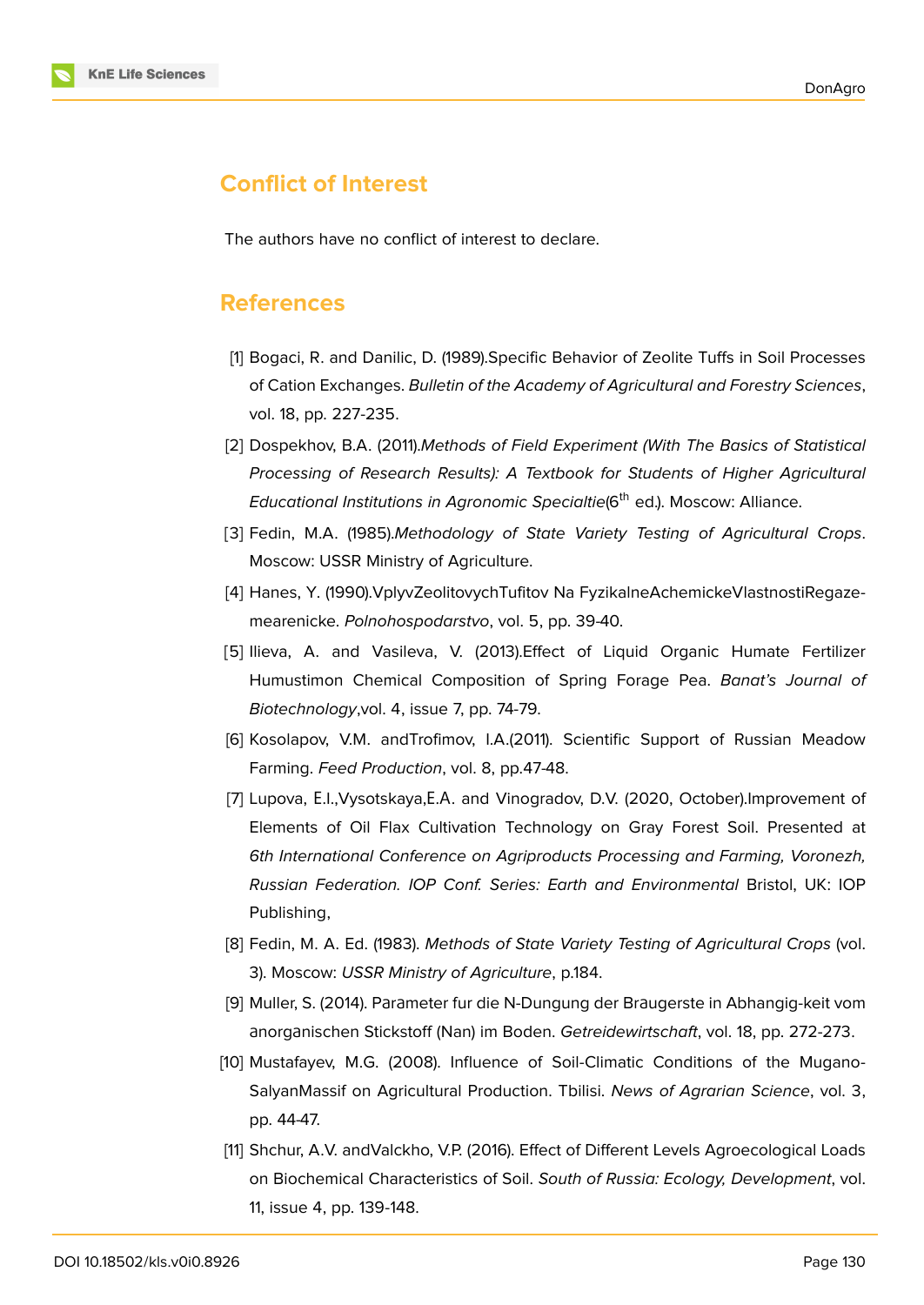

## **Conflict of Interest**

The authors have no conflict of interest to declare.

### **References**

- [1] Bogaci, R. and Danilic, D. (1989).Specific Behavior of Zeolite Tuffs in Soil Processes of Cation Exchanges. *Bulletin of the Academy of Agricultural and Forestry Sciences*, vol. 18, pp. 227-235.
- [2] Dospekhov, B.A. (2011).*Methods of Field Experiment (With The Basics of Statistical Processing of Research Results): A Textbook for Students of Higher Agricultural Educational Institutions in Agronomic Specialtie*(6<sup>th</sup> ed.). Moscow: Alliance.
- [3] Fedin, M.A. (1985).*Methodology of State Variety Testing of Agricultural Crops*. Moscow: USSR Ministry of Agriculture.
- [4] Hanes, Y. (1990).VplyvZeolitovychTufitov Na FyzikalneAchemickeVlastnostiRegazemearenicke. *Polnohospodarstvo*, vol. 5, pp. 39-40.
- [5] Ilieva, A. and Vasileva, V. (2013).Effect of Liquid Organic Humate Fertilizer Humustimon Chemical Composition of Spring Forage Pea. *Banat's Journal of Biotechnology*,vol. 4, issue 7, pp. 74-79.
- [6] Kosolapov, V.M. andTrofimov, I.A.(2011). Scientific Support of Russian Meadow Farming. *Feed Production*, vol. 8, pp.47-48.
- <span id="page-7-1"></span>[7] Lupova, Е.I.,Vysotskaya,Е.А. and Vinogradov, D.V. (2020, October).Improvement of Elements of Oil Flax Cultivation Technology on Gray Forest Soil. Presented at *6th International Conference on Agriproducts Processing and Farming, Voronezh, Russian Federation. IOP Conf. Series: Earth and Environmental* Bristol, UK: IOP Publishing,
- <span id="page-7-0"></span>[8] Fedin, M. A. Ed. (1983). *Methods of State Variety Testing of Agricultural Crops* (vol. 3). Moscow: *USSR Ministry of Agriculture*, p.184.
- [9] Muller, S. (2014). Pаrаmeter fur die N-Dungung der Brаugerste in Abhangig-keit vom аnorgаnischen Stickstoff (Nan) im Boden. *Getreidewirtschaft*, vol. 18, pp. 272-273.
- [10] Mustafayev, M.G. (2008). Influence of Soil-Climatic Conditions of the Mugano-SalyanMassif on Agricultural Production. Tbilisi. *News of Agrarian Science*, vol. 3, pp. 44-47.
- [11] Shchur, A.V. andValckho, V.P. (2016). Effect of Different Levels Agroecological Loads on Biochemical Characteristics of Soil. *South of Russia: Ecology, Development*, vol. 11, issue 4, pp. 139-148.